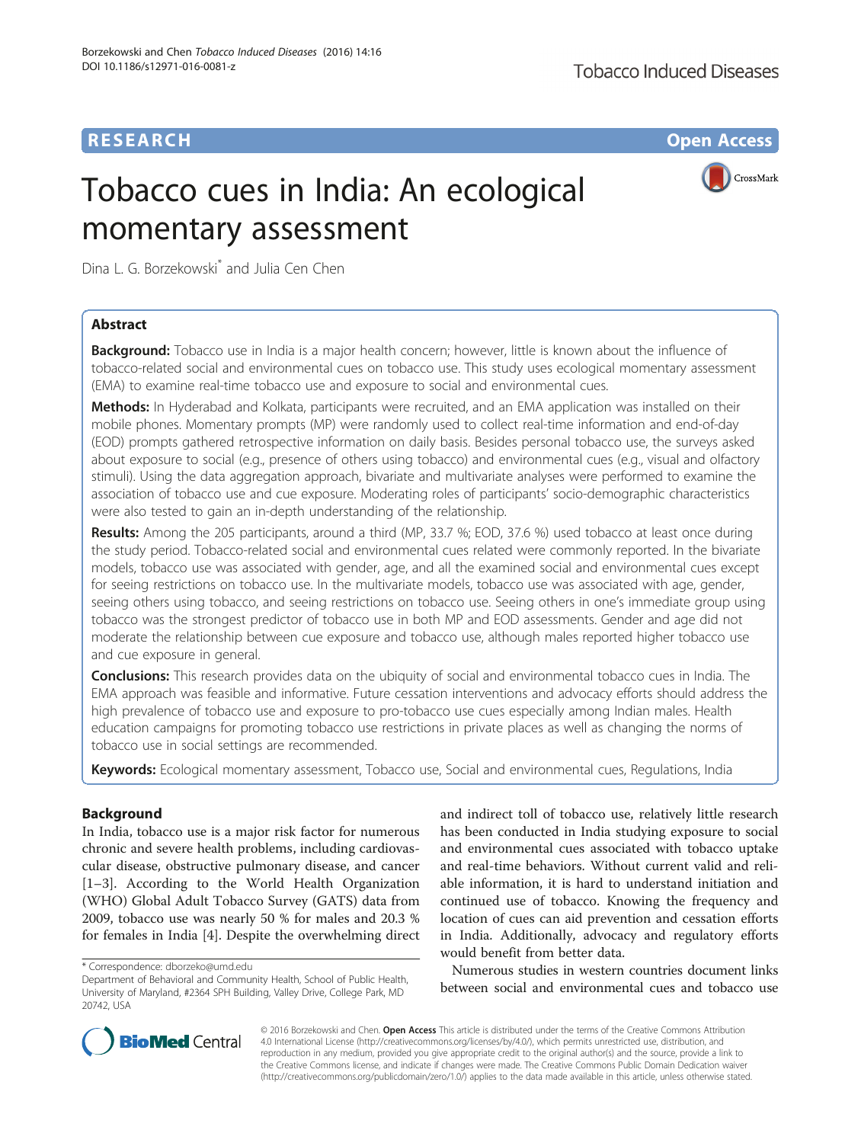# **RESEARCH CHE Open Access**

# Tobacco cues in India: An ecological momentary assessment



Dina L. G. Borzekowski\* and Julia Cen Chen

# Abstract

**Background:** Tobacco use in India is a major health concern; however, little is known about the influence of tobacco-related social and environmental cues on tobacco use. This study uses ecological momentary assessment (EMA) to examine real-time tobacco use and exposure to social and environmental cues.

**Methods:** In Hyderabad and Kolkata, participants were recruited, and an EMA application was installed on their mobile phones. Momentary prompts (MP) were randomly used to collect real-time information and end-of-day (EOD) prompts gathered retrospective information on daily basis. Besides personal tobacco use, the surveys asked about exposure to social (e.g., presence of others using tobacco) and environmental cues (e.g., visual and olfactory stimuli). Using the data aggregation approach, bivariate and multivariate analyses were performed to examine the association of tobacco use and cue exposure. Moderating roles of participants' socio-demographic characteristics were also tested to gain an in-depth understanding of the relationship.

Results: Among the 205 participants, around a third (MP, 33.7 %; EOD, 37.6 %) used tobacco at least once during the study period. Tobacco-related social and environmental cues related were commonly reported. In the bivariate models, tobacco use was associated with gender, age, and all the examined social and environmental cues except for seeing restrictions on tobacco use. In the multivariate models, tobacco use was associated with age, gender, seeing others using tobacco, and seeing restrictions on tobacco use. Seeing others in one's immediate group using tobacco was the strongest predictor of tobacco use in both MP and EOD assessments. Gender and age did not moderate the relationship between cue exposure and tobacco use, although males reported higher tobacco use and cue exposure in general.

Conclusions: This research provides data on the ubiquity of social and environmental tobacco cues in India. The EMA approach was feasible and informative. Future cessation interventions and advocacy efforts should address the high prevalence of tobacco use and exposure to pro-tobacco use cues especially among Indian males. Health education campaigns for promoting tobacco use restrictions in private places as well as changing the norms of tobacco use in social settings are recommended.

Keywords: Ecological momentary assessment, Tobacco use, Social and environmental cues, Regulations, India

# **Background**

In India, tobacco use is a major risk factor for numerous chronic and severe health problems, including cardiovascular disease, obstructive pulmonary disease, and cancer [[1](#page-8-0)–[3\]](#page-8-0). According to the World Health Organization (WHO) Global Adult Tobacco Survey (GATS) data from 2009, tobacco use was nearly 50 % for males and 20.3 % for females in India [\[4](#page-8-0)]. Despite the overwhelming direct

and indirect toll of tobacco use, relatively little research has been conducted in India studying exposure to social and environmental cues associated with tobacco uptake and real-time behaviors. Without current valid and reliable information, it is hard to understand initiation and continued use of tobacco. Knowing the frequency and location of cues can aid prevention and cessation efforts in India. Additionally, advocacy and regulatory efforts would benefit from better data.

Numerous studies in western countries document links between social and environmental cues and tobacco use



© 2016 Borzekowski and Chen. Open Access This article is distributed under the terms of the Creative Commons Attribution 4.0 International License ([http://creativecommons.org/licenses/by/4.0/\)](http://creativecommons.org/licenses/by/4.0/), which permits unrestricted use, distribution, and reproduction in any medium, provided you give appropriate credit to the original author(s) and the source, provide a link to the Creative Commons license, and indicate if changes were made. The Creative Commons Public Domain Dedication waiver [\(http://creativecommons.org/publicdomain/zero/1.0/](http://creativecommons.org/publicdomain/zero/1.0/)) applies to the data made available in this article, unless otherwise stated.

<sup>\*</sup> Correspondence: [dborzeko@umd.edu](mailto:dborzeko@umd.edu)

Department of Behavioral and Community Health, School of Public Health, University of Maryland, #2364 SPH Building, Valley Drive, College Park, MD 20742, USA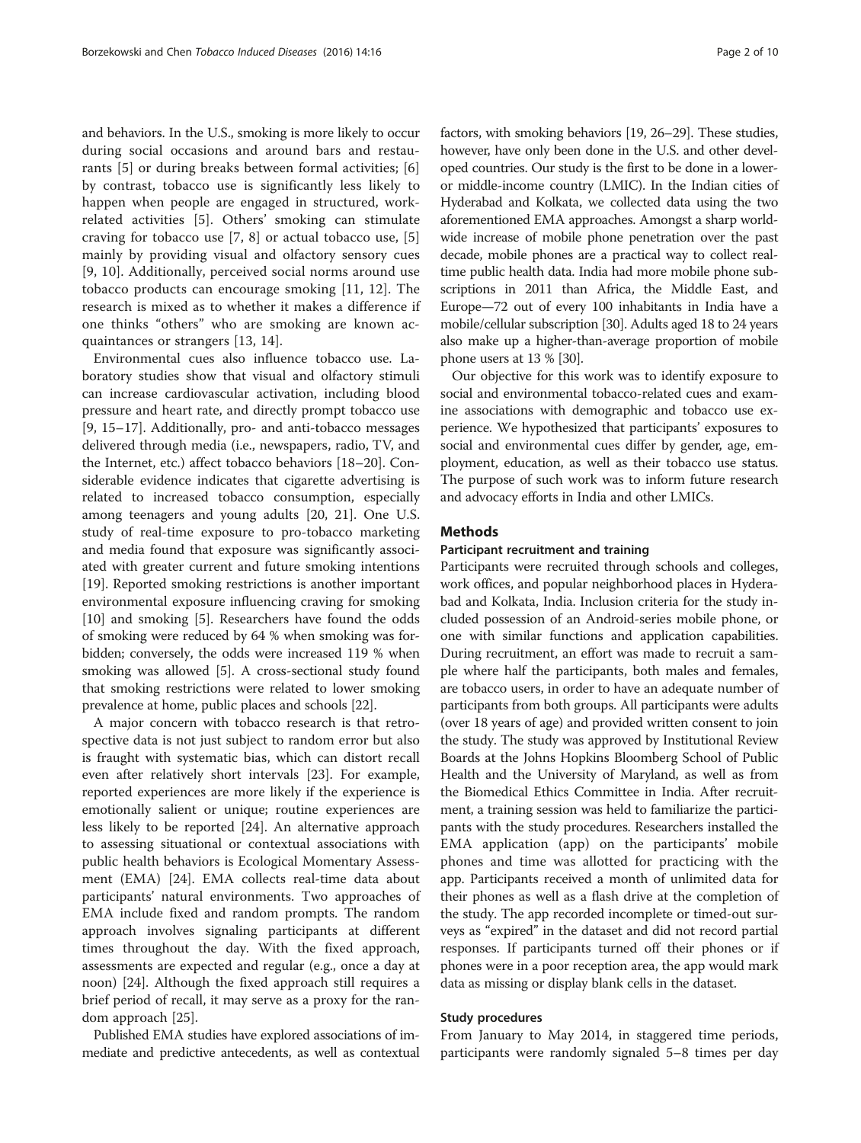and behaviors. In the U.S., smoking is more likely to occur during social occasions and around bars and restaurants [\[5](#page-8-0)] or during breaks between formal activities; [\[6](#page-8-0)] by contrast, tobacco use is significantly less likely to happen when people are engaged in structured, workrelated activities [\[5](#page-8-0)]. Others' smoking can stimulate craving for tobacco use [[7, 8](#page-8-0)] or actual tobacco use, [\[5](#page-8-0)] mainly by providing visual and olfactory sensory cues [[9, 10](#page-8-0)]. Additionally, perceived social norms around use tobacco products can encourage smoking [\[11](#page-8-0), [12](#page-8-0)]. The research is mixed as to whether it makes a difference if one thinks "others" who are smoking are known acquaintances or strangers [[13](#page-8-0), [14](#page-8-0)].

Environmental cues also influence tobacco use. Laboratory studies show that visual and olfactory stimuli can increase cardiovascular activation, including blood pressure and heart rate, and directly prompt tobacco use [[9, 15](#page-8-0)–[17\]](#page-9-0). Additionally, pro- and anti-tobacco messages delivered through media (i.e., newspapers, radio, TV, and the Internet, etc.) affect tobacco behaviors [[18](#page-9-0)–[20](#page-9-0)]. Considerable evidence indicates that cigarette advertising is related to increased tobacco consumption, especially among teenagers and young adults [[20, 21\]](#page-9-0). One U.S. study of real-time exposure to pro-tobacco marketing and media found that exposure was significantly associated with greater current and future smoking intentions [[19\]](#page-9-0). Reported smoking restrictions is another important environmental exposure influencing craving for smoking [[10\]](#page-8-0) and smoking [[5\]](#page-8-0). Researchers have found the odds of smoking were reduced by 64 % when smoking was forbidden; conversely, the odds were increased 119 % when smoking was allowed [\[5](#page-8-0)]. A cross-sectional study found that smoking restrictions were related to lower smoking prevalence at home, public places and schools [\[22\]](#page-9-0).

A major concern with tobacco research is that retrospective data is not just subject to random error but also is fraught with systematic bias, which can distort recall even after relatively short intervals [\[23\]](#page-9-0). For example, reported experiences are more likely if the experience is emotionally salient or unique; routine experiences are less likely to be reported [[24\]](#page-9-0). An alternative approach to assessing situational or contextual associations with public health behaviors is Ecological Momentary Assessment (EMA) [[24\]](#page-9-0). EMA collects real-time data about participants' natural environments. Two approaches of EMA include fixed and random prompts. The random approach involves signaling participants at different times throughout the day. With the fixed approach, assessments are expected and regular (e.g., once a day at noon) [[24\]](#page-9-0). Although the fixed approach still requires a brief period of recall, it may serve as a proxy for the random approach [[25\]](#page-9-0).

Published EMA studies have explored associations of immediate and predictive antecedents, as well as contextual

factors, with smoking behaviors [[19](#page-9-0), [26](#page-9-0)–[29\]](#page-9-0). These studies, however, have only been done in the U.S. and other developed countries. Our study is the first to be done in a loweror middle-income country (LMIC). In the Indian cities of Hyderabad and Kolkata, we collected data using the two aforementioned EMA approaches. Amongst a sharp worldwide increase of mobile phone penetration over the past decade, mobile phones are a practical way to collect realtime public health data. India had more mobile phone subscriptions in 2011 than Africa, the Middle East, and Europe—72 out of every 100 inhabitants in India have a mobile/cellular subscription [\[30\]](#page-9-0). Adults aged 18 to 24 years also make up a higher-than-average proportion of mobile phone users at 13 % [\[30\]](#page-9-0).

Our objective for this work was to identify exposure to social and environmental tobacco-related cues and examine associations with demographic and tobacco use experience. We hypothesized that participants' exposures to social and environmental cues differ by gender, age, employment, education, as well as their tobacco use status. The purpose of such work was to inform future research and advocacy efforts in India and other LMICs.

# **Methods**

# Participant recruitment and training

Participants were recruited through schools and colleges, work offices, and popular neighborhood places in Hyderabad and Kolkata, India. Inclusion criteria for the study included possession of an Android-series mobile phone, or one with similar functions and application capabilities. During recruitment, an effort was made to recruit a sample where half the participants, both males and females, are tobacco users, in order to have an adequate number of participants from both groups. All participants were adults (over 18 years of age) and provided written consent to join the study. The study was approved by Institutional Review Boards at the Johns Hopkins Bloomberg School of Public Health and the University of Maryland, as well as from the Biomedical Ethics Committee in India. After recruitment, a training session was held to familiarize the participants with the study procedures. Researchers installed the EMA application (app) on the participants' mobile phones and time was allotted for practicing with the app. Participants received a month of unlimited data for their phones as well as a flash drive at the completion of the study. The app recorded incomplete or timed-out surveys as "expired" in the dataset and did not record partial responses. If participants turned off their phones or if phones were in a poor reception area, the app would mark data as missing or display blank cells in the dataset.

## Study procedures

From January to May 2014, in staggered time periods, participants were randomly signaled 5–8 times per day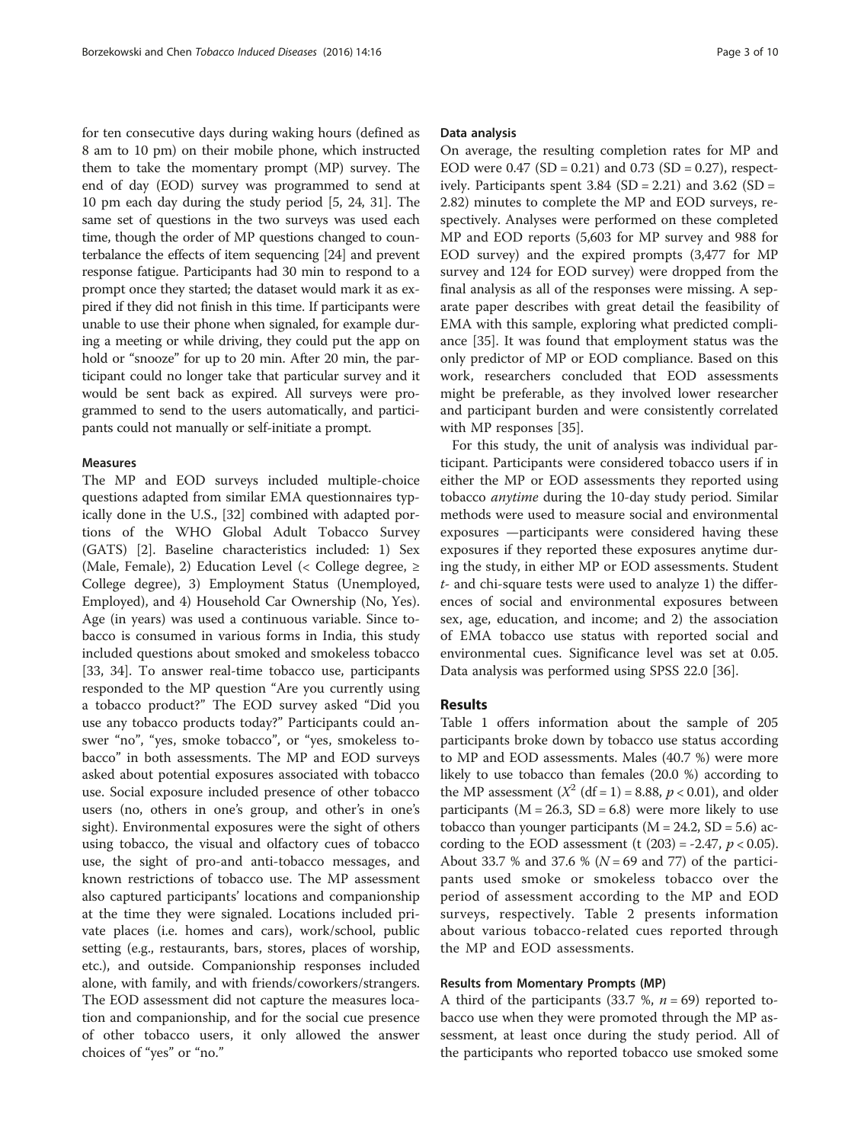for ten consecutive days during waking hours (defined as 8 am to 10 pm) on their mobile phone, which instructed them to take the momentary prompt (MP) survey. The end of day (EOD) survey was programmed to send at 10 pm each day during the study period [\[5,](#page-8-0) [24](#page-9-0), [31\]](#page-9-0). The same set of questions in the two surveys was used each time, though the order of MP questions changed to counterbalance the effects of item sequencing [[24](#page-9-0)] and prevent response fatigue. Participants had 30 min to respond to a prompt once they started; the dataset would mark it as expired if they did not finish in this time. If participants were unable to use their phone when signaled, for example during a meeting or while driving, they could put the app on hold or "snooze" for up to 20 min. After 20 min, the participant could no longer take that particular survey and it would be sent back as expired. All surveys were programmed to send to the users automatically, and participants could not manually or self-initiate a prompt.

## **Measures**

The MP and EOD surveys included multiple-choice questions adapted from similar EMA questionnaires typically done in the U.S., [[32\]](#page-9-0) combined with adapted portions of the WHO Global Adult Tobacco Survey (GATS) [[2\]](#page-8-0). Baseline characteristics included: 1) Sex (Male, Female), 2) Education Level (< College degree,  $\geq$ College degree), 3) Employment Status (Unemployed, Employed), and 4) Household Car Ownership (No, Yes). Age (in years) was used a continuous variable. Since tobacco is consumed in various forms in India, this study included questions about smoked and smokeless tobacco [[33, 34](#page-9-0)]. To answer real-time tobacco use, participants responded to the MP question "Are you currently using a tobacco product?" The EOD survey asked "Did you use any tobacco products today?" Participants could answer "no", "yes, smoke tobacco", or "yes, smokeless tobacco" in both assessments. The MP and EOD surveys asked about potential exposures associated with tobacco use. Social exposure included presence of other tobacco users (no, others in one's group, and other's in one's sight). Environmental exposures were the sight of others using tobacco, the visual and olfactory cues of tobacco use, the sight of pro-and anti-tobacco messages, and known restrictions of tobacco use. The MP assessment also captured participants' locations and companionship at the time they were signaled. Locations included private places (i.e. homes and cars), work/school, public setting (e.g., restaurants, bars, stores, places of worship, etc.), and outside. Companionship responses included alone, with family, and with friends/coworkers/strangers. The EOD assessment did not capture the measures location and companionship, and for the social cue presence of other tobacco users, it only allowed the answer choices of "yes" or "no."

#### Data analysis

On average, the resulting completion rates for MP and EOD were  $0.47$  (SD = 0.21) and 0.73 (SD = 0.27), respectively. Participants spent  $3.84$  (SD = 2.21) and  $3.62$  (SD = 2.82) minutes to complete the MP and EOD surveys, respectively. Analyses were performed on these completed MP and EOD reports (5,603 for MP survey and 988 for EOD survey) and the expired prompts (3,477 for MP survey and 124 for EOD survey) were dropped from the final analysis as all of the responses were missing. A separate paper describes with great detail the feasibility of EMA with this sample, exploring what predicted compliance [\[35\]](#page-9-0). It was found that employment status was the only predictor of MP or EOD compliance. Based on this work, researchers concluded that EOD assessments might be preferable, as they involved lower researcher and participant burden and were consistently correlated with MP responses [[35\]](#page-9-0).

For this study, the unit of analysis was individual participant. Participants were considered tobacco users if in either the MP or EOD assessments they reported using tobacco anytime during the 10-day study period. Similar methods were used to measure social and environmental exposures —participants were considered having these exposures if they reported these exposures anytime during the study, in either MP or EOD assessments. Student t- and chi-square tests were used to analyze 1) the differences of social and environmental exposures between sex, age, education, and income; and 2) the association of EMA tobacco use status with reported social and environmental cues. Significance level was set at 0.05. Data analysis was performed using SPSS 22.0 [[36\]](#page-9-0).

# Results

Table [1](#page-3-0) offers information about the sample of 205 participants broke down by tobacco use status according to MP and EOD assessments. Males (40.7 %) were more likely to use tobacco than females (20.0 %) according to the MP assessment  $(X^2 (df = 1) = 8.88, p < 0.01)$ , and older participants ( $M = 26.3$ ,  $SD = 6.8$ ) were more likely to use tobacco than younger participants ( $M = 24.2$ ,  $SD = 5.6$ ) according to the EOD assessment (t  $(203) = -2.47$ ,  $p < 0.05$ ). About 33.7 % and 37.6 % ( $N = 69$  and 77) of the participants used smoke or smokeless tobacco over the period of assessment according to the MP and EOD surveys, respectively. Table [2](#page-4-0) presents information about various tobacco-related cues reported through the MP and EOD assessments.

## Results from Momentary Prompts (MP)

A third of the participants (33.7 %,  $n = 69$ ) reported tobacco use when they were promoted through the MP assessment, at least once during the study period. All of the participants who reported tobacco use smoked some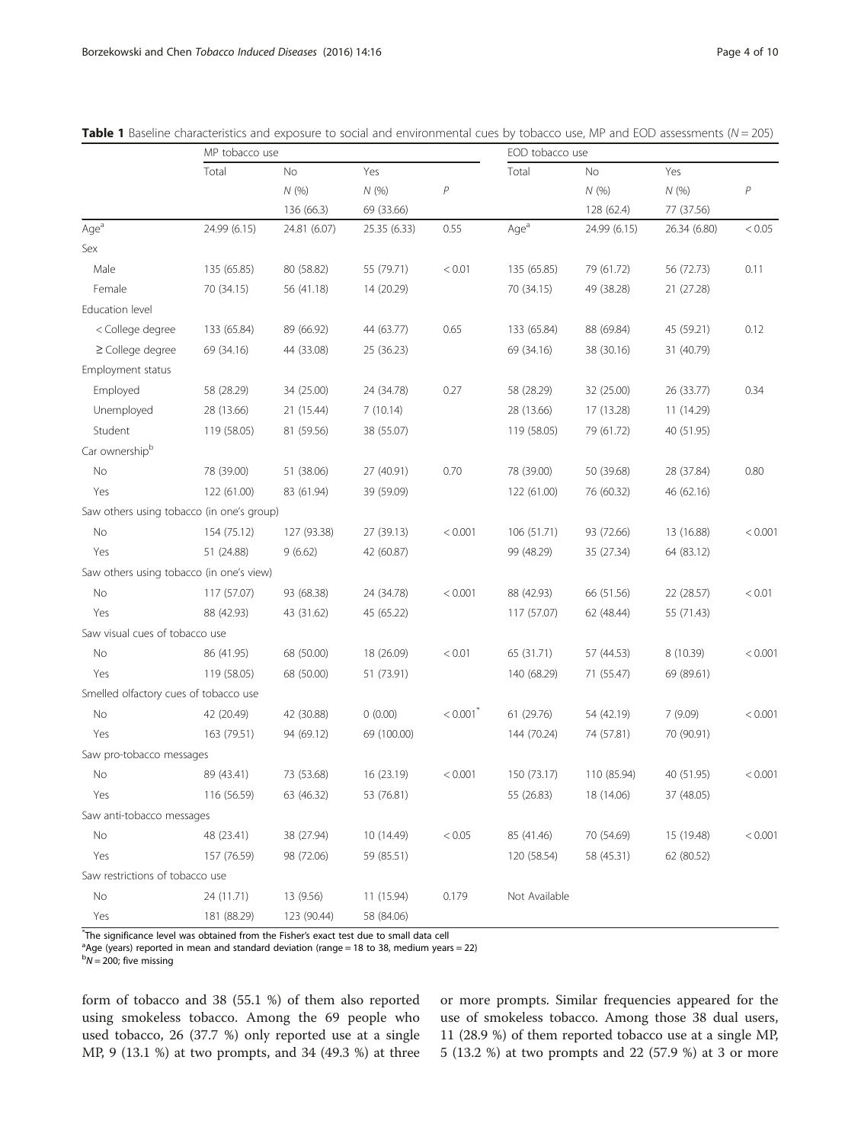|                                           | MP tobacco use |              |              |                        | EOD tobacco use  |              |              |         |  |  |
|-------------------------------------------|----------------|--------------|--------------|------------------------|------------------|--------------|--------------|---------|--|--|
|                                           | Total          | <b>No</b>    | Yes          |                        | Total            | No           | Yes          |         |  |  |
|                                           |                | N(%)         | N(% )        | P                      |                  | N(% )        | N(%)         | P       |  |  |
|                                           |                | 136 (66.3)   | 69 (33.66)   |                        |                  | 128 (62.4)   | 77 (37.56)   |         |  |  |
| Age <sup>a</sup>                          | 24.99 (6.15)   | 24.81 (6.07) | 25.35 (6.33) | 0.55                   | Age <sup>a</sup> | 24.99 (6.15) | 26.34 (6.80) | < 0.05  |  |  |
| Sex                                       |                |              |              |                        |                  |              |              |         |  |  |
| Male                                      | 135 (65.85)    | 80 (58.82)   | 55 (79.71)   | < 0.01                 | 135 (65.85)      | 79 (61.72)   | 56 (72.73)   | 0.11    |  |  |
| Female                                    | 70 (34.15)     | 56 (41.18)   | 14 (20.29)   |                        | 70 (34.15)       | 49 (38.28)   | 21 (27.28)   |         |  |  |
| Education level                           |                |              |              |                        |                  |              |              |         |  |  |
| < College degree                          | 133 (65.84)    | 89 (66.92)   | 44 (63.77)   | 0.65                   | 133 (65.84)      | 88 (69.84)   | 45 (59.21)   | 0.12    |  |  |
| $\geq$ College degree                     | 69 (34.16)     | 44 (33.08)   | 25 (36.23)   |                        | 69 (34.16)       | 38 (30.16)   | 31 (40.79)   |         |  |  |
| Employment status                         |                |              |              |                        |                  |              |              |         |  |  |
| Employed                                  | 58 (28.29)     | 34 (25.00)   | 24 (34.78)   | 0.27                   | 58 (28.29)       | 32 (25.00)   | 26 (33.77)   | 0.34    |  |  |
| Unemployed                                | 28 (13.66)     | 21 (15.44)   | 7(10.14)     |                        | 28 (13.66)       | 17 (13.28)   | 11 (14.29)   |         |  |  |
| Student                                   | 119 (58.05)    | 81 (59.56)   | 38 (55.07)   |                        | 119 (58.05)      | 79 (61.72)   | 40 (51.95)   |         |  |  |
| Car ownershipb                            |                |              |              |                        |                  |              |              |         |  |  |
| No                                        | 78 (39.00)     | 51 (38.06)   | 27 (40.91)   | 0.70                   | 78 (39.00)       | 50 (39.68)   | 28 (37.84)   | 0.80    |  |  |
| Yes                                       | 122 (61.00)    | 83 (61.94)   | 39 (59.09)   |                        | 122 (61.00)      | 76 (60.32)   | 46 (62.16)   |         |  |  |
| Saw others using tobacco (in one's group) |                |              |              |                        |                  |              |              |         |  |  |
| No                                        | 154 (75.12)    | 127 (93.38)  | 27 (39.13)   | < 0.001                | 106 (51.71)      | 93 (72.66)   | 13 (16.88)   | < 0.001 |  |  |
| Yes                                       | 51 (24.88)     | 9(6.62)      | 42 (60.87)   |                        | 99 (48.29)       | 35 (27.34)   | 64 (83.12)   |         |  |  |
| Saw others using tobacco (in one's view)  |                |              |              |                        |                  |              |              |         |  |  |
| No                                        | 117 (57.07)    | 93 (68.38)   | 24 (34.78)   | < 0.001                | 88 (42.93)       | 66 (51.56)   | 22 (28.57)   | < 0.01  |  |  |
| Yes                                       | 88 (42.93)     | 43 (31.62)   | 45 (65.22)   |                        | 117 (57.07)      | 62 (48.44)   | 55 (71.43)   |         |  |  |
| Saw visual cues of tobacco use            |                |              |              |                        |                  |              |              |         |  |  |
| No                                        | 86 (41.95)     | 68 (50.00)   | 18 (26.09)   | < 0.01                 | 65 (31.71)       | 57 (44.53)   | 8 (10.39)    | < 0.001 |  |  |
| Yes                                       | 119 (58.05)    | 68 (50.00)   | 51 (73.91)   |                        | 140 (68.29)      | 71 (55.47)   | 69 (89.61)   |         |  |  |
| Smelled olfactory cues of tobacco use     |                |              |              |                        |                  |              |              |         |  |  |
| No                                        | 42 (20.49)     | 42 (30.88)   | 0(0.00)      | $< 0.001$ <sup>*</sup> | 61 (29.76)       | 54 (42.19)   | 7(9.09)      | < 0.001 |  |  |
| Yes                                       | 163 (79.51)    | 94 (69.12)   | 69 (100.00)  |                        | 144 (70.24)      | 74 (57.81)   | 70 (90.91)   |         |  |  |
| Saw pro-tobacco messages                  |                |              |              |                        |                  |              |              |         |  |  |
| No                                        | 89 (43.41)     | 73 (53.68)   | 16 (23.19)   | < 0.001                | 150 (73.17)      | 110 (85.94)  | 40 (51.95)   | < 0.001 |  |  |
| Yes                                       | 116 (56.59)    | 63 (46.32)   | 53 (76.81)   |                        | 55 (26.83)       | 18 (14.06)   | 37 (48.05)   |         |  |  |
| Saw anti-tobacco messages                 |                |              |              |                        |                  |              |              |         |  |  |
| No                                        | 48 (23.41)     | 38 (27.94)   | 10 (14.49)   | < 0.05                 | 85 (41.46)       | 70 (54.69)   | 15 (19.48)   | < 0.001 |  |  |
| Yes                                       | 157 (76.59)    | 98 (72.06)   | 59 (85.51)   |                        | 120 (58.54)      | 58 (45.31)   | 62 (80.52)   |         |  |  |
| Saw restrictions of tobacco use           |                |              |              |                        |                  |              |              |         |  |  |
| No                                        | 24 (11.71)     | 13 (9.56)    | 11 (15.94)   | 0.179                  | Not Available    |              |              |         |  |  |
| Yes                                       | 181 (88.29)    | 123 (90.44)  | 58 (84.06)   |                        |                  |              |              |         |  |  |

<span id="page-3-0"></span>

|  |  |  |  |  |  |  | Table 1 Baseline characteristics and exposure to social and environmental cues by tobacco use, MP and EOD assessments (N = 205) |  |  |  |  |  |  |  |  |  |  |  |  |
|--|--|--|--|--|--|--|---------------------------------------------------------------------------------------------------------------------------------|--|--|--|--|--|--|--|--|--|--|--|--|
|--|--|--|--|--|--|--|---------------------------------------------------------------------------------------------------------------------------------|--|--|--|--|--|--|--|--|--|--|--|--|

The significance level was obtained from the Fisher's exact test due to small data cell<br><sup>a</sup>Age (years) reported in moap and standard doviation (range = 19 to 28, modium year

 $a$ Age (years) reported in mean and standard deviation (range = 18 to 38, medium years = 22)

 $bN = 200$ ; five missing

form of tobacco and 38 (55.1 %) of them also reported using smokeless tobacco. Among the 69 people who used tobacco, 26 (37.7 %) only reported use at a single MP, 9 (13.1 %) at two prompts, and 34 (49.3 %) at three

or more prompts. Similar frequencies appeared for the use of smokeless tobacco. Among those 38 dual users, 11 (28.9 %) of them reported tobacco use at a single MP, 5 (13.2 %) at two prompts and 22 (57.9 %) at 3 or more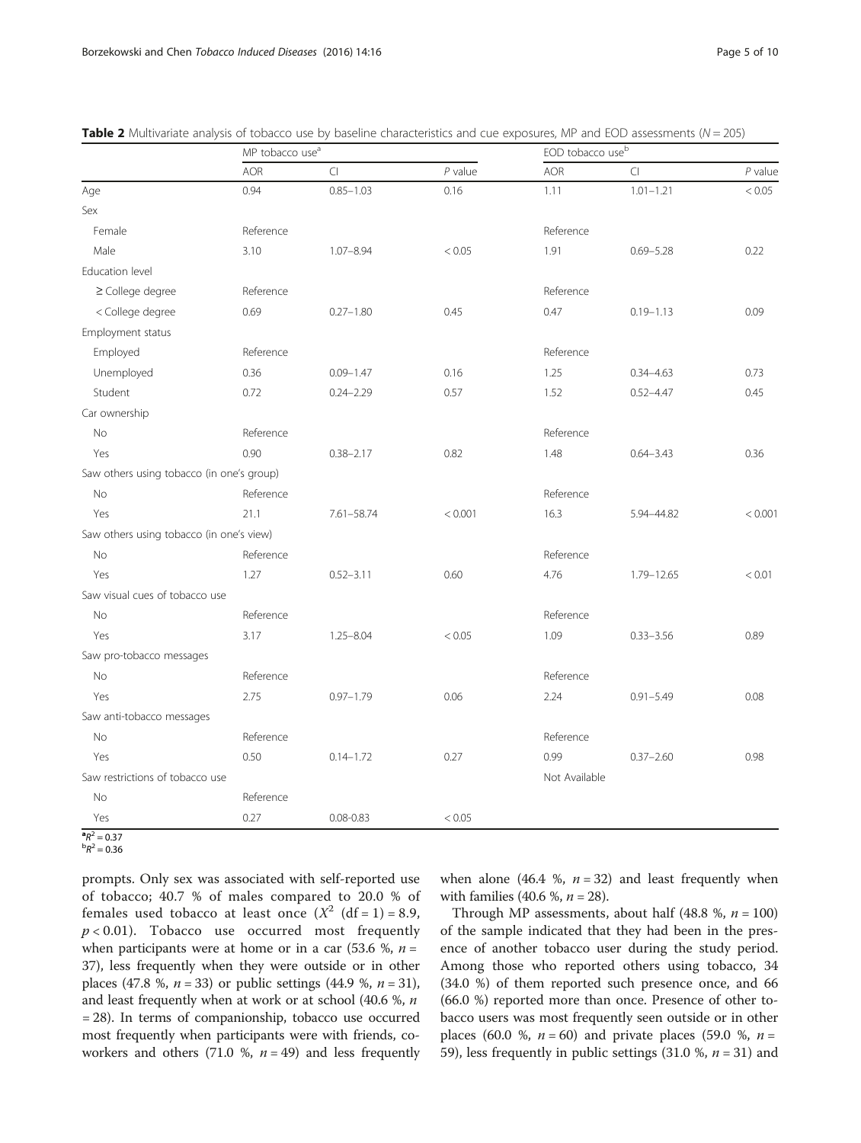|                                           |            | MP tobacco use <sup>a</sup> |           |               | EOD tobacco use <sup>b</sup> |           |  |  |  |
|-------------------------------------------|------------|-----------------------------|-----------|---------------|------------------------------|-----------|--|--|--|
|                                           | <b>AOR</b> | $\Box$                      | $P$ value | <b>AOR</b>    | CI                           | $P$ value |  |  |  |
| Age                                       | 0.94       | $0.85 - 1.03$               | 0.16      | 1.11          | $1.01 - 1.21$                | < 0.05    |  |  |  |
| Sex                                       |            |                             |           |               |                              |           |  |  |  |
| Female                                    | Reference  |                             |           | Reference     |                              |           |  |  |  |
| Male                                      | 3.10       | $1.07 - 8.94$               | < 0.05    | 1.91          | $0.69 - 5.28$                | 0.22      |  |  |  |
| Education level                           |            |                             |           |               |                              |           |  |  |  |
| ≥ College degree                          | Reference  |                             |           | Reference     |                              |           |  |  |  |
| < College degree                          | 0.69       | $0.27 - 1.80$               | 0.45      | 0.47          | $0.19 - 1.13$                | 0.09      |  |  |  |
| Employment status                         |            |                             |           |               |                              |           |  |  |  |
| Employed                                  | Reference  |                             |           | Reference     |                              |           |  |  |  |
| Unemployed                                | 0.36       | $0.09 - 1.47$               | 0.16      | 1.25          | $0.34 - 4.63$                | 0.73      |  |  |  |
| Student                                   | 0.72       | $0.24 - 2.29$               | 0.57      | 1.52          | $0.52 - 4.47$                | 0.45      |  |  |  |
| Car ownership                             |            |                             |           |               |                              |           |  |  |  |
| <b>No</b>                                 | Reference  |                             |           | Reference     |                              |           |  |  |  |
| Yes                                       | 0.90       | $0.38 - 2.17$               | 0.82      | 1.48          | $0.64 - 3.43$                | 0.36      |  |  |  |
| Saw others using tobacco (in one's group) |            |                             |           |               |                              |           |  |  |  |
| No                                        | Reference  |                             |           | Reference     |                              |           |  |  |  |
| Yes                                       | 21.1       | 7.61-58.74                  | < 0.001   | 16.3          | 5.94-44.82                   | < 0.001   |  |  |  |
| Saw others using tobacco (in one's view)  |            |                             |           |               |                              |           |  |  |  |
| No                                        | Reference  |                             |           | Reference     |                              |           |  |  |  |
| Yes                                       | 1.27       | $0.52 - 3.11$               | 0.60      | 4.76          | 1.79-12.65                   | < 0.01    |  |  |  |
| Saw visual cues of tobacco use            |            |                             |           |               |                              |           |  |  |  |
| No                                        | Reference  |                             |           | Reference     |                              |           |  |  |  |
| Yes                                       | 3.17       | $1.25 - 8.04$               | < 0.05    | 1.09          | $0.33 - 3.56$                | 0.89      |  |  |  |
| Saw pro-tobacco messages                  |            |                             |           |               |                              |           |  |  |  |
| No                                        | Reference  |                             |           | Reference     |                              |           |  |  |  |
| Yes                                       | 2.75       | $0.97 - 1.79$               | 0.06      | 2.24          | $0.91 - 5.49$                | 0.08      |  |  |  |
| Saw anti-tobacco messages                 |            |                             |           |               |                              |           |  |  |  |
| <b>No</b>                                 | Reference  |                             |           | Reference     |                              |           |  |  |  |
| Yes                                       | 0.50       | $0.14 - 1.72$               | 0.27      | 0.99          | $0.37 - 2.60$                | 0.98      |  |  |  |
| Saw restrictions of tobacco use           |            |                             |           | Not Available |                              |           |  |  |  |
| No                                        | Reference  |                             |           |               |                              |           |  |  |  |
| Yes                                       | 0.27       | $0.08 - 0.83$               | < 0.05    |               |                              |           |  |  |  |

<span id="page-4-0"></span>Table 2 Multivariate analysis of tobacco use by baseline characteristics and cue exposures, MP and EOD assessments ( $N = 205$ )

 ${}^{\bf a}R^2 = 0.37$ <br> ${}^{\bf b}P^2 = 0.36$  ${}^{b}R^{2} = 0.36$ 

prompts. Only sex was associated with self-reported use of tobacco; 40.7 % of males compared to 20.0 % of females used tobacco at least once  $(X^2 \text{ (df = 1)} = 8.9,$  $p < 0.01$ ). Tobacco use occurred most frequently when participants were at home or in a car  $(53.6 \, %), n =$ 37), less frequently when they were outside or in other places (47.8 %,  $n = 33$ ) or public settings (44.9 %,  $n = 31$ ), and least frequently when at work or at school (40.6 %, n = 28). In terms of companionship, tobacco use occurred most frequently when participants were with friends, coworkers and others (71.0 %,  $n = 49$ ) and less frequently when alone (46.4 %,  $n = 32$ ) and least frequently when with families (40.6 %,  $n = 28$ ).

Through MP assessments, about half (48.8 %,  $n = 100$ ) of the sample indicated that they had been in the presence of another tobacco user during the study period. Among those who reported others using tobacco, 34 (34.0 %) of them reported such presence once, and 66 (66.0 %) reported more than once. Presence of other tobacco users was most frequently seen outside or in other places (60.0 %,  $n = 60$ ) and private places (59.0 %,  $n =$ 59), less frequently in public settings (31.0 %,  $n = 31$ ) and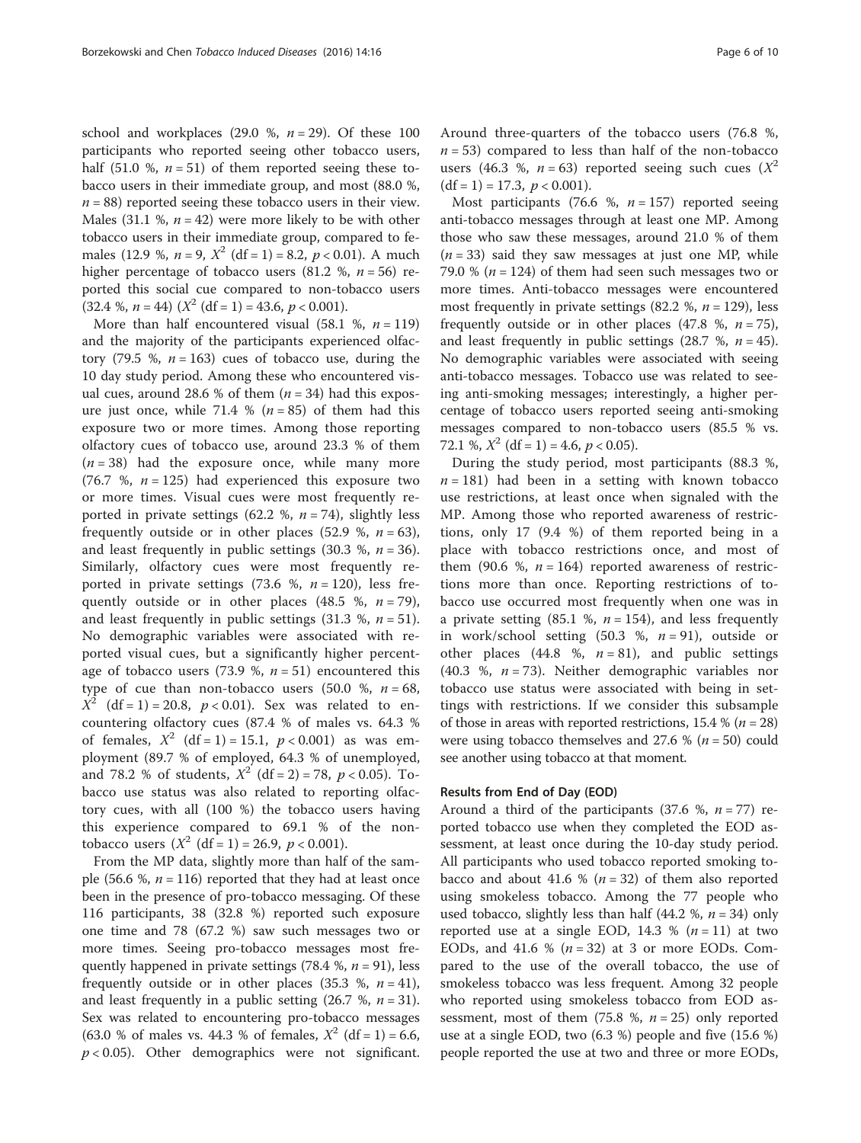school and workplaces (29.0 %,  $n = 29$ ). Of these 100 participants who reported seeing other tobacco users, half (51.0 %,  $n = 51$ ) of them reported seeing these tobacco users in their immediate group, and most (88.0 %,  $n = 88$ ) reported seeing these tobacco users in their view. Males (31.1 %,  $n = 42$ ) were more likely to be with other tobacco users in their immediate group, compared to females (12.9 %,  $n = 9$ ,  $X^2$  (df = 1) = 8.2,  $p < 0.01$ ). A much higher percentage of tobacco users (81.2 %,  $n = 56$ ) reported this social cue compared to non-tobacco users  $(32.4 %$ ,  $n = 44) (X<sup>2</sup> (df = 1) = 43.6, p < 0.001).$ 

More than half encountered visual (58.1 %,  $n = 119$ ) and the majority of the participants experienced olfactory (79.5 %,  $n = 163$ ) cues of tobacco use, during the 10 day study period. Among these who encountered visual cues, around 28.6 % of them  $(n = 34)$  had this exposure just once, while 71.4 % ( $n = 85$ ) of them had this exposure two or more times. Among those reporting olfactory cues of tobacco use, around 23.3 % of them  $(n = 38)$  had the exposure once, while many more (76.7 %,  $n = 125$ ) had experienced this exposure two or more times. Visual cues were most frequently reported in private settings (62.2 %,  $n = 74$ ), slightly less frequently outside or in other places (52.9 %,  $n = 63$ ), and least frequently in public settings (30.3 %,  $n = 36$ ). Similarly, olfactory cues were most frequently reported in private settings (73.6 %,  $n = 120$ ), less frequently outside or in other places (48.5 %,  $n = 79$ ), and least frequently in public settings  $(31.3 \, %, n = 51)$ . No demographic variables were associated with reported visual cues, but a significantly higher percentage of tobacco users (73.9 %,  $n = 51$ ) encountered this type of cue than non-tobacco users  $(50.0 %, n = 68, ...)$  $X^2$  (df = 1) = 20.8, p < 0.01). Sex was related to encountering olfactory cues (87.4 % of males vs. 64.3 % of females,  $X^2$  (df = 1) = 15.1,  $p < 0.001$ ) as was employment (89.7 % of employed, 64.3 % of unemployed, and 78.2 % of students,  $X^2$  (df = 2) = 78,  $p < 0.05$ ). Tobacco use status was also related to reporting olfactory cues, with all (100 %) the tobacco users having this experience compared to 69.1 % of the nontobacco users  $(X^2 \text{ (df = 1)} = 26.9, p < 0.001).$ 

From the MP data, slightly more than half of the sample (56.6 %,  $n = 116$ ) reported that they had at least once been in the presence of pro-tobacco messaging. Of these 116 participants, 38 (32.8 %) reported such exposure one time and 78 (67.2 %) saw such messages two or more times. Seeing pro-tobacco messages most frequently happened in private settings (78.4 %,  $n = 91$ ), less frequently outside or in other places (35.3 %,  $n = 41$ ), and least frequently in a public setting  $(26.7 %, n = 31)$ . Sex was related to encountering pro-tobacco messages (63.0 % of males vs. 44.3 % of females,  $X^2$  (df = 1) = 6.6,  $p < 0.05$ ). Other demographics were not significant.

Around three-quarters of the tobacco users (76.8 %,  $n = 53$ ) compared to less than half of the non-tobacco users (46.3 %,  $n = 63$ ) reported seeing such cues ( $X^2$  $(df = 1) = 17.3, p < 0.001$ .

Most participants (76.6 %,  $n = 157$ ) reported seeing anti-tobacco messages through at least one MP. Among those who saw these messages, around 21.0 % of them  $(n = 33)$  said they saw messages at just one MP, while 79.0 % ( $n = 124$ ) of them had seen such messages two or more times. Anti-tobacco messages were encountered most frequently in private settings (82.2 %,  $n = 129$ ), less frequently outside or in other places (47.8 %,  $n = 75$ ), and least frequently in public settings (28.7 %,  $n = 45$ ). No demographic variables were associated with seeing anti-tobacco messages. Tobacco use was related to seeing anti-smoking messages; interestingly, a higher percentage of tobacco users reported seeing anti-smoking messages compared to non-tobacco users (85.5 % vs. 72.1 %,  $X^2$  (df = 1) = 4.6,  $p < 0.05$ ).

During the study period, most participants (88.3 %,  $n = 181$ ) had been in a setting with known tobacco use restrictions, at least once when signaled with the MP. Among those who reported awareness of restrictions, only 17 (9.4 %) of them reported being in a place with tobacco restrictions once, and most of them (90.6 %,  $n = 164$ ) reported awareness of restrictions more than once. Reporting restrictions of tobacco use occurred most frequently when one was in a private setting (85.1 %,  $n = 154$ ), and less frequently in work/school setting  $(50.3 \text{ %}, n = 91)$ , outside or other places (44.8 %,  $n = 81$ ), and public settings (40.3 %,  $n = 73$ ). Neither demographic variables nor tobacco use status were associated with being in settings with restrictions. If we consider this subsample of those in areas with reported restrictions, 15.4 % ( $n = 28$ ) were using tobacco themselves and 27.6 % ( $n = 50$ ) could see another using tobacco at that moment.

## Results from End of Day (EOD)

Around a third of the participants (37.6 %,  $n = 77$ ) reported tobacco use when they completed the EOD assessment, at least once during the 10-day study period. All participants who used tobacco reported smoking tobacco and about 41.6 % ( $n = 32$ ) of them also reported using smokeless tobacco. Among the 77 people who used tobacco, slightly less than half  $(44.2 \, %, n = 34)$  only reported use at a single EOD, 14.3 %  $(n = 11)$  at two EODs, and 41.6 %  $(n = 32)$  at 3 or more EODs. Compared to the use of the overall tobacco, the use of smokeless tobacco was less frequent. Among 32 people who reported using smokeless tobacco from EOD assessment, most of them (75.8 %,  $n = 25$ ) only reported use at a single EOD, two (6.3 %) people and five (15.6 %) people reported the use at two and three or more EODs,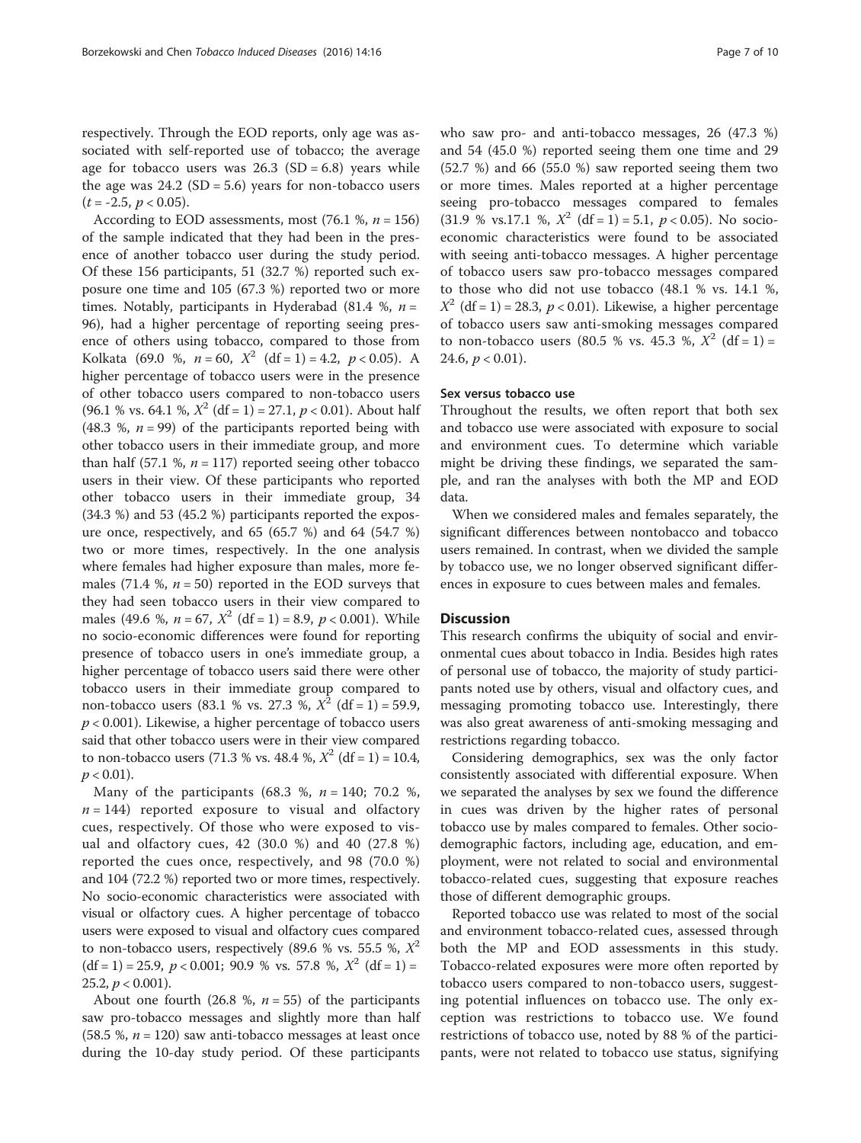respectively. Through the EOD reports, only age was associated with self-reported use of tobacco; the average age for tobacco users was  $26.3$  (SD = 6.8) years while the age was  $24.2$  (SD = 5.6) years for non-tobacco users  $(t = -2.5, p < 0.05)$ .

According to EOD assessments, most  $(76.1 \text{ %}, n = 156)$ of the sample indicated that they had been in the presence of another tobacco user during the study period. Of these 156 participants, 51 (32.7 %) reported such exposure one time and 105 (67.3 %) reported two or more times. Notably, participants in Hyderabad (81.4 %,  $n =$ 96), had a higher percentage of reporting seeing presence of others using tobacco, compared to those from Kolkata (69.0 %,  $n = 60$ ,  $X^2$  (df = 1) = 4.2,  $p < 0.05$ ). A higher percentage of tobacco users were in the presence of other tobacco users compared to non-tobacco users (96.1 % vs. 64.1 %,  $X^2$  (df = 1) = 27.1,  $p < 0.01$ ). About half (48.3 %,  $n = 99$ ) of the participants reported being with other tobacco users in their immediate group, and more than half (57.1 %,  $n = 117$ ) reported seeing other tobacco users in their view. Of these participants who reported other tobacco users in their immediate group, 34 (34.3 %) and 53 (45.2 %) participants reported the exposure once, respectively, and 65 (65.7 %) and 64 (54.7 %) two or more times, respectively. In the one analysis where females had higher exposure than males, more females (71.4 %,  $n = 50$ ) reported in the EOD surveys that they had seen tobacco users in their view compared to males (49.6 %,  $n = 67$ ,  $X^2$  (df = 1) = 8.9,  $p < 0.001$ ). While no socio-economic differences were found for reporting presence of tobacco users in one's immediate group, a higher percentage of tobacco users said there were other tobacco users in their immediate group compared to non-tobacco users (83.1 % vs. 27.3 %,  $X^2$  (df = 1) = 59.9,  $p < 0.001$ ). Likewise, a higher percentage of tobacco users said that other tobacco users were in their view compared to non-tobacco users (71.3 % vs. 48.4 %,  $X^2$  (df = 1) = 10.4,  $p < 0.01$ ).

Many of the participants (68.3 %,  $n = 140$ ; 70.2 %,  $n = 144$ ) reported exposure to visual and olfactory cues, respectively. Of those who were exposed to visual and olfactory cues, 42 (30.0 %) and 40 (27.8 %) reported the cues once, respectively, and 98 (70.0 %) and 104 (72.2 %) reported two or more times, respectively. No socio-economic characteristics were associated with visual or olfactory cues. A higher percentage of tobacco users were exposed to visual and olfactory cues compared to non-tobacco users, respectively (89.6 % vs. 55.5 %,  $X^2$ )  $(df = 1) = 25.9, p < 0.001; 90.9 %$  vs. 57.8 %,  $X^2 (df = 1) =$ 25.2,  $p < 0.001$ ).

About one fourth (26.8 %,  $n = 55$ ) of the participants saw pro-tobacco messages and slightly more than half  $(58.5 \text{ %}, n = 120)$  saw anti-tobacco messages at least once during the 10-day study period. Of these participants who saw pro- and anti-tobacco messages, 26 (47.3 %) and 54 (45.0 %) reported seeing them one time and 29  $(52.7 \%)$  and 66  $(55.0 \%)$  saw reported seeing them two or more times. Males reported at a higher percentage seeing pro-tobacco messages compared to females (31.9 % vs.17.1 %,  $X^2$  (df = 1) = 5.1,  $p < 0.05$ ). No socioeconomic characteristics were found to be associated with seeing anti-tobacco messages. A higher percentage of tobacco users saw pro-tobacco messages compared to those who did not use tobacco (48.1 % vs. 14.1 %,  $X^2$  (df = 1) = 28.3,  $p < 0.01$ ). Likewise, a higher percentage of tobacco users saw anti-smoking messages compared to non-tobacco users (80.5 % vs. 45.3 %,  $X^2$  (df = 1) = 24.6,  $p < 0.01$ ).

#### Sex versus tobacco use

Throughout the results, we often report that both sex and tobacco use were associated with exposure to social and environment cues. To determine which variable might be driving these findings, we separated the sample, and ran the analyses with both the MP and EOD data.

When we considered males and females separately, the significant differences between nontobacco and tobacco users remained. In contrast, when we divided the sample by tobacco use, we no longer observed significant differences in exposure to cues between males and females.

# **Discussion**

This research confirms the ubiquity of social and environmental cues about tobacco in India. Besides high rates of personal use of tobacco, the majority of study participants noted use by others, visual and olfactory cues, and messaging promoting tobacco use. Interestingly, there was also great awareness of anti-smoking messaging and restrictions regarding tobacco.

Considering demographics, sex was the only factor consistently associated with differential exposure. When we separated the analyses by sex we found the difference in cues was driven by the higher rates of personal tobacco use by males compared to females. Other sociodemographic factors, including age, education, and employment, were not related to social and environmental tobacco-related cues, suggesting that exposure reaches those of different demographic groups.

Reported tobacco use was related to most of the social and environment tobacco-related cues, assessed through both the MP and EOD assessments in this study. Tobacco-related exposures were more often reported by tobacco users compared to non-tobacco users, suggesting potential influences on tobacco use. The only exception was restrictions to tobacco use. We found restrictions of tobacco use, noted by 88 % of the participants, were not related to tobacco use status, signifying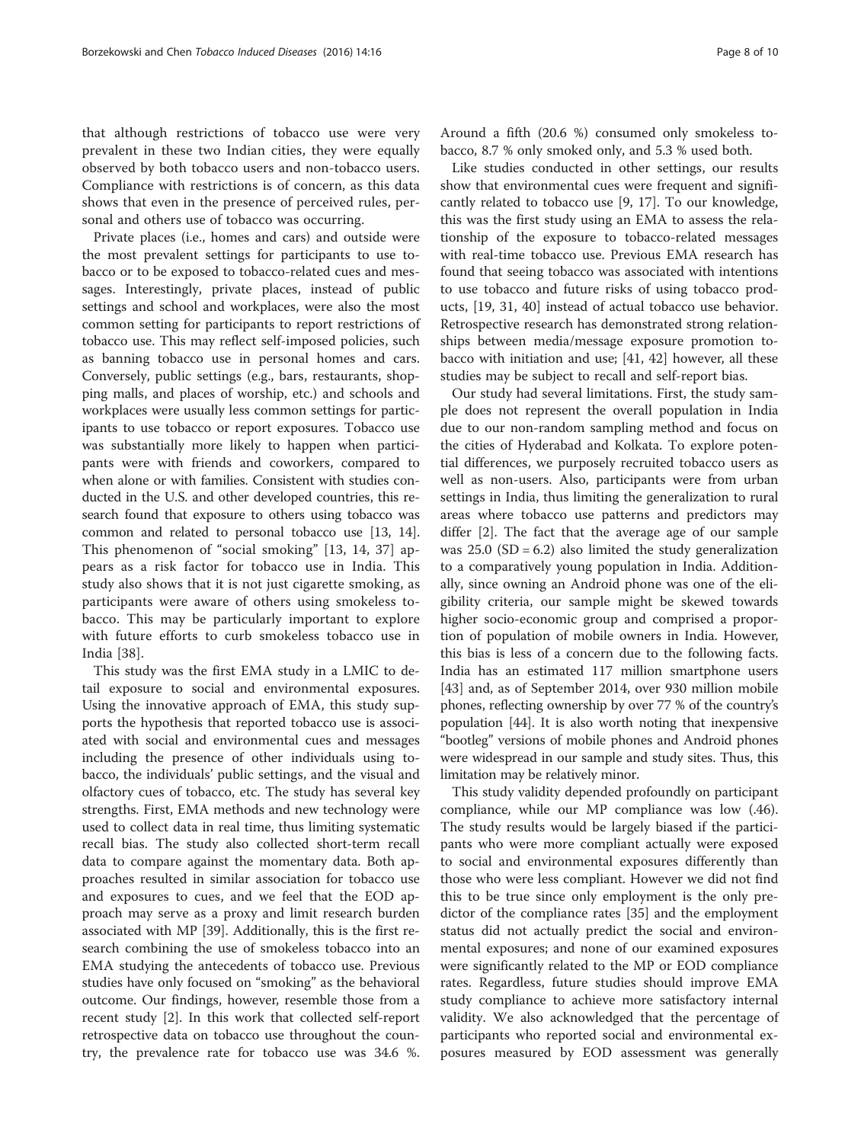that although restrictions of tobacco use were very prevalent in these two Indian cities, they were equally observed by both tobacco users and non-tobacco users. Compliance with restrictions is of concern, as this data shows that even in the presence of perceived rules, personal and others use of tobacco was occurring.

Private places (i.e., homes and cars) and outside were the most prevalent settings for participants to use tobacco or to be exposed to tobacco-related cues and messages. Interestingly, private places, instead of public settings and school and workplaces, were also the most common setting for participants to report restrictions of tobacco use. This may reflect self-imposed policies, such as banning tobacco use in personal homes and cars. Conversely, public settings (e.g., bars, restaurants, shopping malls, and places of worship, etc.) and schools and workplaces were usually less common settings for participants to use tobacco or report exposures. Tobacco use was substantially more likely to happen when participants were with friends and coworkers, compared to when alone or with families. Consistent with studies conducted in the U.S. and other developed countries, this research found that exposure to others using tobacco was common and related to personal tobacco use [\[13, 14](#page-8-0)]. This phenomenon of "social smoking" [\[13](#page-8-0), [14,](#page-8-0) [37\]](#page-9-0) appears as a risk factor for tobacco use in India. This study also shows that it is not just cigarette smoking, as participants were aware of others using smokeless tobacco. This may be particularly important to explore with future efforts to curb smokeless tobacco use in India [\[38](#page-9-0)].

This study was the first EMA study in a LMIC to detail exposure to social and environmental exposures. Using the innovative approach of EMA, this study supports the hypothesis that reported tobacco use is associated with social and environmental cues and messages including the presence of other individuals using tobacco, the individuals' public settings, and the visual and olfactory cues of tobacco, etc. The study has several key strengths. First, EMA methods and new technology were used to collect data in real time, thus limiting systematic recall bias. The study also collected short-term recall data to compare against the momentary data. Both approaches resulted in similar association for tobacco use and exposures to cues, and we feel that the EOD approach may serve as a proxy and limit research burden associated with MP [[39\]](#page-9-0). Additionally, this is the first research combining the use of smokeless tobacco into an EMA studying the antecedents of tobacco use. Previous studies have only focused on "smoking" as the behavioral outcome. Our findings, however, resemble those from a recent study [[2\]](#page-8-0). In this work that collected self-report retrospective data on tobacco use throughout the country, the prevalence rate for tobacco use was 34.6 %.

Around a fifth (20.6 %) consumed only smokeless tobacco, 8.7 % only smoked only, and 5.3 % used both.

Like studies conducted in other settings, our results show that environmental cues were frequent and significantly related to tobacco use [[9,](#page-8-0) [17](#page-9-0)]. To our knowledge, this was the first study using an EMA to assess the relationship of the exposure to tobacco-related messages with real-time tobacco use. Previous EMA research has found that seeing tobacco was associated with intentions to use tobacco and future risks of using tobacco products, [\[19](#page-9-0), [31, 40](#page-9-0)] instead of actual tobacco use behavior. Retrospective research has demonstrated strong relationships between media/message exposure promotion tobacco with initiation and use; [[41, 42\]](#page-9-0) however, all these studies may be subject to recall and self-report bias.

Our study had several limitations. First, the study sample does not represent the overall population in India due to our non-random sampling method and focus on the cities of Hyderabad and Kolkata. To explore potential differences, we purposely recruited tobacco users as well as non-users. Also, participants were from urban settings in India, thus limiting the generalization to rural areas where tobacco use patterns and predictors may differ [[2\]](#page-8-0). The fact that the average age of our sample was  $25.0$  (SD = 6.2) also limited the study generalization to a comparatively young population in India. Additionally, since owning an Android phone was one of the eligibility criteria, our sample might be skewed towards higher socio-economic group and comprised a proportion of population of mobile owners in India. However, this bias is less of a concern due to the following facts. India has an estimated 117 million smartphone users [[43\]](#page-9-0) and, as of September 2014, over 930 million mobile phones, reflecting ownership by over 77 % of the country's population [\[44\]](#page-9-0). It is also worth noting that inexpensive "bootleg" versions of mobile phones and Android phones were widespread in our sample and study sites. Thus, this limitation may be relatively minor.

This study validity depended profoundly on participant compliance, while our MP compliance was low (.46). The study results would be largely biased if the participants who were more compliant actually were exposed to social and environmental exposures differently than those who were less compliant. However we did not find this to be true since only employment is the only predictor of the compliance rates [\[35](#page-9-0)] and the employment status did not actually predict the social and environmental exposures; and none of our examined exposures were significantly related to the MP or EOD compliance rates. Regardless, future studies should improve EMA study compliance to achieve more satisfactory internal validity. We also acknowledged that the percentage of participants who reported social and environmental exposures measured by EOD assessment was generally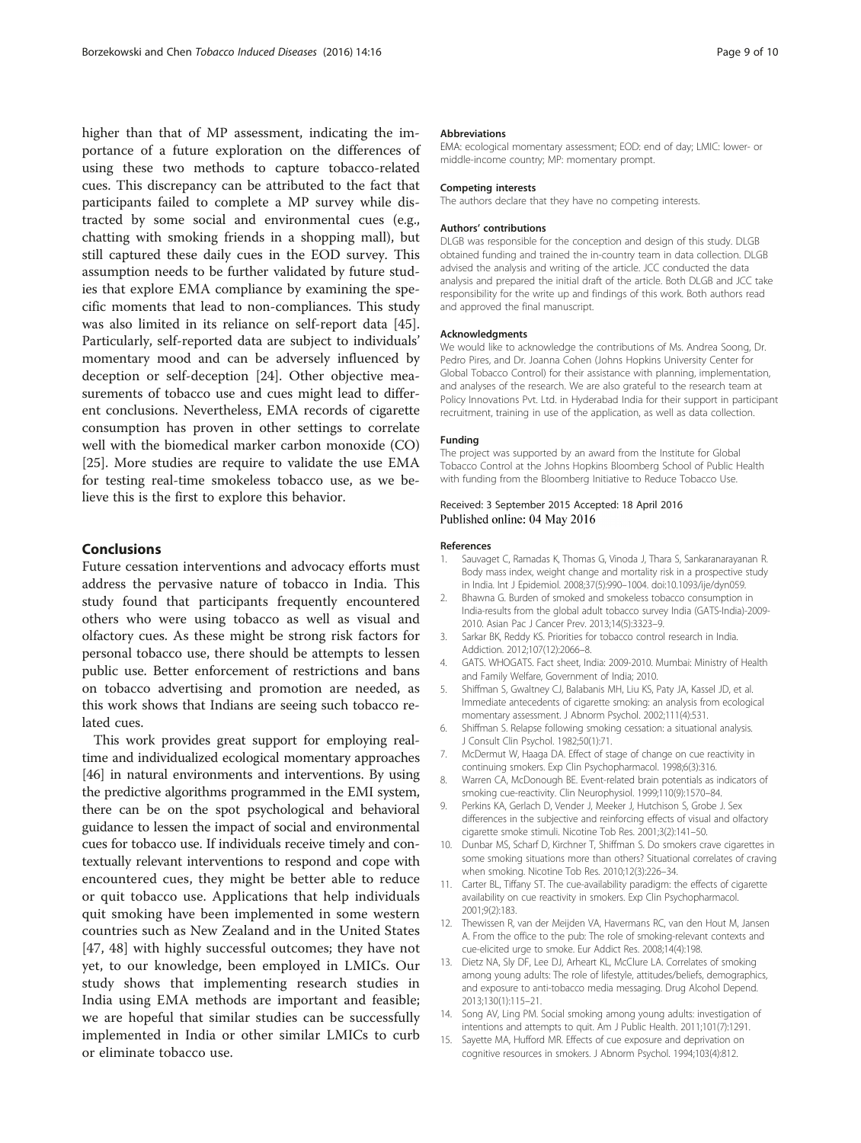<span id="page-8-0"></span>higher than that of MP assessment, indicating the importance of a future exploration on the differences of using these two methods to capture tobacco-related cues. This discrepancy can be attributed to the fact that participants failed to complete a MP survey while distracted by some social and environmental cues (e.g., chatting with smoking friends in a shopping mall), but still captured these daily cues in the EOD survey. This assumption needs to be further validated by future studies that explore EMA compliance by examining the specific moments that lead to non-compliances. This study was also limited in its reliance on self-report data [\[45](#page-9-0)]. Particularly, self-reported data are subject to individuals' momentary mood and can be adversely influenced by deception or self-deception [\[24\]](#page-9-0). Other objective measurements of tobacco use and cues might lead to different conclusions. Nevertheless, EMA records of cigarette consumption has proven in other settings to correlate well with the biomedical marker carbon monoxide (CO) [[25\]](#page-9-0). More studies are require to validate the use EMA for testing real-time smokeless tobacco use, as we believe this is the first to explore this behavior.

# Conclusions

Future cessation interventions and advocacy efforts must address the pervasive nature of tobacco in India. This study found that participants frequently encountered others who were using tobacco as well as visual and olfactory cues. As these might be strong risk factors for personal tobacco use, there should be attempts to lessen public use. Better enforcement of restrictions and bans on tobacco advertising and promotion are needed, as this work shows that Indians are seeing such tobacco related cues.

This work provides great support for employing realtime and individualized ecological momentary approaches [[46](#page-9-0)] in natural environments and interventions. By using the predictive algorithms programmed in the EMI system, there can be on the spot psychological and behavioral guidance to lessen the impact of social and environmental cues for tobacco use. If individuals receive timely and contextually relevant interventions to respond and cope with encountered cues, they might be better able to reduce or quit tobacco use. Applications that help individuals quit smoking have been implemented in some western countries such as New Zealand and in the United States [[47, 48\]](#page-9-0) with highly successful outcomes; they have not yet, to our knowledge, been employed in LMICs. Our study shows that implementing research studies in India using EMA methods are important and feasible; we are hopeful that similar studies can be successfully implemented in India or other similar LMICs to curb or eliminate tobacco use.

#### Abbreviations

EMA: ecological momentary assessment; EOD: end of day; LMIC: lower- or middle-income country; MP: momentary prompt.

#### Competing interests

The authors declare that they have no competing interests.

#### Authors' contributions

DLGB was responsible for the conception and design of this study. DLGB obtained funding and trained the in-country team in data collection. DLGB advised the analysis and writing of the article. JCC conducted the data analysis and prepared the initial draft of the article. Both DLGB and JCC take responsibility for the write up and findings of this work. Both authors read and approved the final manuscript.

#### Acknowledgments

We would like to acknowledge the contributions of Ms. Andrea Soong, Dr. Pedro Pires, and Dr. Joanna Cohen (Johns Hopkins University Center for Global Tobacco Control) for their assistance with planning, implementation, and analyses of the research. We are also grateful to the research team at Policy Innovations Pvt. Ltd. in Hyderabad India for their support in participant recruitment, training in use of the application, as well as data collection.

#### Funding

The project was supported by an award from the Institute for Global Tobacco Control at the Johns Hopkins Bloomberg School of Public Health with funding from the Bloomberg Initiative to Reduce Tobacco Use.

#### Received: 3 September 2015 Accepted: 18 April 2016 Published online: 04 May 2016

#### References

- Sauvaget C, Ramadas K, Thomas G, Vinoda J, Thara S, Sankaranarayanan R. Body mass index, weight change and mortality risk in a prospective study in India. Int J Epidemiol. 2008;37(5):990–1004. doi[:10.1093/ije/dyn059](http://dx.doi.org/10.1093/ije/dyn059).
- 2. Bhawna G. Burden of smoked and smokeless tobacco consumption in India-results from the global adult tobacco survey India (GATS-India)-2009- 2010. Asian Pac J Cancer Prev. 2013;14(5):3323–9.
- 3. Sarkar BK, Reddy KS. Priorities for tobacco control research in India. Addiction. 2012;107(12):2066–8.
- 4. GATS. WHOGATS. Fact sheet, India: 2009-2010. Mumbai: Ministry of Health and Family Welfare, Government of India; 2010.
- 5. Shiffman S, Gwaltney CJ, Balabanis MH, Liu KS, Paty JA, Kassel JD, et al. Immediate antecedents of cigarette smoking: an analysis from ecological momentary assessment. J Abnorm Psychol. 2002;111(4):531.
- 6. Shiffman S. Relapse following smoking cessation: a situational analysis. J Consult Clin Psychol. 1982;50(1):71.
- 7. McDermut W, Haaga DA. Effect of stage of change on cue reactivity in continuing smokers. Exp Clin Psychopharmacol. 1998;6(3):316.
- 8. Warren CA, McDonough BE. Event-related brain potentials as indicators of smoking cue-reactivity. Clin Neurophysiol. 1999;110(9):1570–84.
- 9. Perkins KA, Gerlach D, Vender J, Meeker J, Hutchison S, Grobe J. Sex differences in the subjective and reinforcing effects of visual and olfactory cigarette smoke stimuli. Nicotine Tob Res. 2001;3(2):141–50.
- 10. Dunbar MS, Scharf D, Kirchner T, Shiffman S. Do smokers crave cigarettes in some smoking situations more than others? Situational correlates of craving when smoking. Nicotine Tob Res. 2010;12(3):226–34.
- 11. Carter BL, Tiffany ST. The cue-availability paradigm: the effects of cigarette availability on cue reactivity in smokers. Exp Clin Psychopharmacol. 2001;9(2):183.
- 12. Thewissen R, van der Meijden VA, Havermans RC, van den Hout M, Jansen A. From the office to the pub: The role of smoking-relevant contexts and cue-elicited urge to smoke. Eur Addict Res. 2008;14(4):198.
- 13. Dietz NA, Sly DF, Lee DJ, Arheart KL, McClure LA. Correlates of smoking among young adults: The role of lifestyle, attitudes/beliefs, demographics, and exposure to anti-tobacco media messaging. Drug Alcohol Depend. 2013;130(1):115–21.
- 14. Song AV, Ling PM. Social smoking among young adults: investigation of intentions and attempts to quit. Am J Public Health. 2011;101(7):1291.
- 15. Sayette MA, Hufford MR. Effects of cue exposure and deprivation on cognitive resources in smokers. J Abnorm Psychol. 1994;103(4):812.